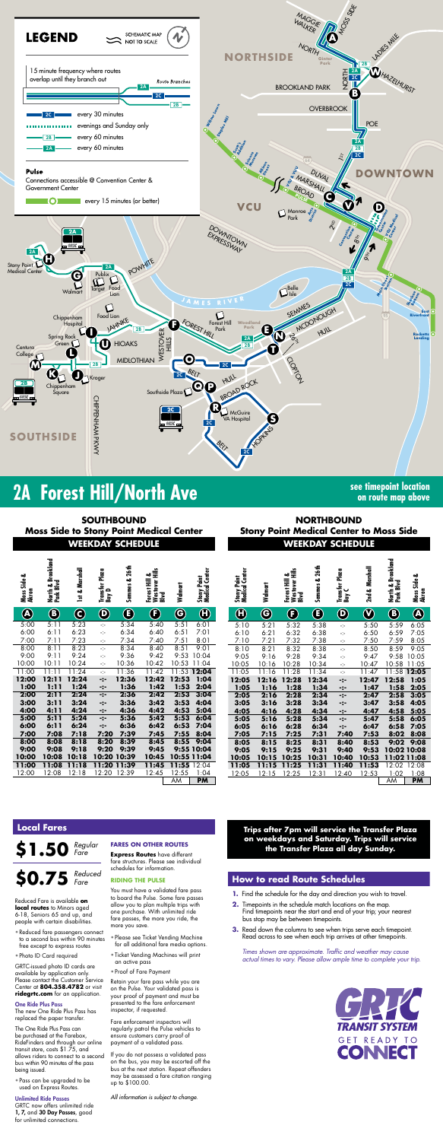

# **2A Forest Hill/North Ave see timepoint location**

**on route map above**

**WEEKDAY SCHEDULE WEEKDAY SCHEDULE SOUTHBOUND Moss Side to Stony Point Medical Center**

**NORTHBOUND Stony Point Medical Center to Moss Side**

### **Trips after 7pm will service the Transfer Plaza on weekdays and Saturday. Trips will service the Transfer Plaza all day Sunday.**

*Times shown are approximate. Traffic and weather may cause actual times to vary. Please allow ample time to complete your trip.*



| Moss Side &<br>Akron   | North & Brookland<br>Park Blvd | 1st & Marshall         | Transfer Plaza<br>$\overline{\phantom{0}}$<br>Вay | Semmes & 26th       | ืื้<br>Forest Hill<br>Westover I<br>Blvd | Walmart                   | Stony Point<br>Medical Center |
|------------------------|--------------------------------|------------------------|---------------------------------------------------|---------------------|------------------------------------------|---------------------------|-------------------------------|
| $\boldsymbol{\lambda}$ | $\boldsymbol{\hat{O}}$         | $\widehat{\mathbf{c}}$ | $\boldsymbol{\hat{Q}}$                            | Ē,                  | F                                        | G                         | $\bf{G}$                      |
| 5:00                   | 5:11                           | 5:23                   | ÷                                                 | 5:34                | 5:40                                     | 5:51                      | 6:01                          |
| 6:00                   | 6:11                           | 6:23                   | ÷                                                 | 6:34                | 6:40                                     | 6:51                      | 7:01                          |
| 7:00                   | 7:11                           | 7:23                   | ÷                                                 | 7:34                | 7:40                                     | 7:51                      | 8:01                          |
| 8:00                   | 8:11                           | 8:23                   | ÷                                                 | 8:34                | 8:40                                     | 8:51                      | 9:01                          |
| 9:00                   | 9:11                           | 9:24                   | ÷                                                 | 9:36                | 9:42                                     | 9:53                      | 10:04                         |
| 10:00                  | 10:11                          | 10:24                  | ÷                                                 | 10:36               | 10:42                                    | 10:53                     | 11:04                         |
| $\overline{1}1:00$     | 11:11                          | 11:24                  | Ą.                                                | $\overline{1}$ 1:36 | 11:42                                    | 11:53                     | 12:04                         |
| 12:00                  | 12:11                          | 12:24                  | -:-                                               | 12:36               | 12:42                                    | 12:53                     | 1:04                          |
| 1:00                   | 1:11                           | 1:24                   | -:-                                               | 1:36                | 1:42                                     | 1:53                      | 2:04                          |
| 2:00                   | 2:11                           | 2:24                   | ∹:-                                               | 2:36                | 2:42                                     | 2:53                      | 3:04                          |
| 3:00                   | 3:11                           | 3:24                   | -:-                                               | 3:36                | 3:42                                     | 3:53                      | 4:04                          |
| 4:00                   | 4:11                           | 4:24                   | -:-                                               | 4:36                | 4:42                                     | 4:53                      | 5:04                          |
| 5:00                   | 5:11                           | 5:24                   | -:-                                               | 5:36                | 5:42                                     | 5:53                      | 6:04                          |
| 6:00                   | 6:11                           | 6:24                   | -:-                                               | 6:36                | 6:42                                     | 6:53                      | 7:04                          |
| 7:00                   | 7:08                           | 7:18                   | 7:20                                              | 7:39                | 7:45                                     | 7:55                      | 8:04                          |
| 8:00                   | 8:08                           | 8:18                   | 8:20                                              | 8:39                | 8:45                                     | 8:55                      | 9:04                          |
| 9:00                   | 9:08                           | 9:18                   | 9:20                                              | 9:39                | 9:45                                     |                           | 9:55 10:04                    |
| 10:00                  | 10:08                          | 10:18                  | 10:20                                             | 10:39               | 10:45                                    |                           | 10:55 11:04                   |
| 11:00                  | 11:08                          | 11:18                  | 11:20                                             | 11:39               | 11:45                                    | 11:55                     | 12:04                         |
| 12:00                  | 12:08                          | 12:18                  | 12:20                                             | 12:39               | 12:45                                    | 12:55<br>$\Delta \Lambda$ | 1:04<br><b>PM</b>             |

GRTC now offers unlimited ride 1, 7, and 30 Day Passes, good for unlimited connections.

| Akron                  | North & Brookland<br>Park Blvd | Marshall<br>ಹ<br>$\overline{5}$ | Transfer Plaza<br>Bay D     | 26 <sub>th</sub><br>ఱ<br><b>Semmes</b> | Westover Hills<br>Blvd<br>ఱ<br>Forest Hill | Walmart        | Stony Point<br>Medical Center | Stony Point<br>Medical Center | Walmart      | Westover<br>Hills<br>Forest Hill &<br><b>Divis</b> | 26 <sub>th</sub><br>ఱ<br><b>Semmes</b> | Transfer Plaza<br>Bay C        | & Marshall<br>2 <sub>nd</sub> | North & Brookland<br>Park Blvd | ఱ<br>Moss Side<br>Akron |
|------------------------|--------------------------------|---------------------------------|-----------------------------|----------------------------------------|--------------------------------------------|----------------|-------------------------------|-------------------------------|--------------|----------------------------------------------------|----------------------------------------|--------------------------------|-------------------------------|--------------------------------|-------------------------|
|                        |                                |                                 |                             |                                        |                                            |                |                               |                               |              |                                                    |                                        |                                |                               |                                |                         |
| $\widehat{\mathbf{B}}$ | $\bigcirc$                     | $\mathbf C$                     | $\mathbf 0$                 | $\bigcirc$                             | $\mathbf \Theta$                           | $\bf G$        | $\boldsymbol{\Theta}$         | $\boldsymbol{\theta}$         | <b>G</b>     | $\left( \mathbf{F}\right)$                         | E                                      | $\boldsymbol{\mathsf{\Theta}}$ | $\bm{\mathbb{Q}}$             | $\bigcirc$                     | $\bigcircledR$          |
| :00                    | 5:11                           | 5:23                            | ÷                           | 5:34                                   | 5:40                                       | 5:5            | 6:01                          | 5:10                          | 5:21         | 5:32                                               | 5:38                                   | -1-                            | 5:50                          | 5:59                           | 6:05                    |
| :00                    | 6:11                           | 6:23                            | ÷j÷                         | 6:34                                   | 6:40                                       | 6:51           | 7:01                          | 6:10                          | 6:21         | 6:32                                               | 6:38                                   | ÷                              | 6:50                          | 6:59                           | 7:05                    |
| :00                    | 7:11                           | 7:23                            | $\mathcal{C}_{\mathcal{C}}$ | 7:34                                   | 7:40                                       | 7:51           | 8:01                          | 7:10                          | 7:21         | 7:32                                               | 7:38                                   | ÷                              | 7:50                          | 7:59                           | 8:05                    |
| :00                    | 8:11                           | 8:23                            | $\frac{1}{2}$               | 8:34                                   | 8:40                                       | 8:51           | 9:01                          | 8:10                          | 8:21         | 8:32                                               | 8:38                                   | ÷                              | 8:50                          | 8:59                           | 9:05                    |
| :00                    | 9:11                           | 9:24                            | ÷t÷                         | 9:36                                   | 9:42                                       | 9:53           | 10:04                         | 9:05                          | 9:16         | 9:28                                               | 9:34                                   | ÷                              | 9:47                          | 9:58                           | 10:05                   |
| :00                    | 10:11                          | 10:24                           | $\frac{1}{2}$               | 10:36                                  | 10:42                                      | 10:53          | 11:04                         | 10:05                         | 10:16        | 10:28                                              | 10:34                                  | ÷                              | 10:47                         | 10:58                          | 11:05                   |
| :00                    | 1:1<br>12:11                   | :24<br>12:24                    | ÷t÷                         | 11:36                                  | 11:42<br>12:42                             | 11:53<br>12:53 | 12:04                         | 11:05                         | 11:16        | 1:28                                               | 11:34                                  | ÷                              | 11:47                         | 11:58                          | 12:05                   |
| :00<br>:00             | 1:11                           | 1:24                            | -:-                         | 12:36<br>1:36                          | 1:42                                       | 1:53           | 1:04<br>2:04                  | 12:05                         | 12:16        | 12:28                                              | 12:34                                  | -:-                            | 12:47                         | 12:58                          | 1:05                    |
| :00                    | 2:11                           | 2:24                            | $\ddotsc$<br>-:-            | 2:36                                   | 2:42                                       | 2:53           | 3:04                          | 1:05<br>2:05                  | 1:16<br>2:16 | 1:28<br>2:28                                       | 1:34<br>2:34                           | -:-                            | 1:47<br>2:47                  | 1:58<br>2:58                   | 2:05<br>3:05            |
| :00                    | 3:11                           | 3:24                            | -:-                         | 3:36                                   | 3:42                                       | 3:53           | 4:04                          | 3:05                          | 3:16         | 3:28                                               | 3:34                                   | -:-<br>-:-                     | 3:47                          | 3:58                           | 4:05                    |
| :00                    | 4:11                           | 4:24                            | $-:-$                       | 4:36                                   | 4:42                                       | 4:53           | 5:04                          | 4:05                          | 4:16         | 4:28                                               | 4:34                                   | -:-                            | 4:47                          | 4:58                           | 5:05                    |
| :00                    | 5:11                           | 5:24                            | -:-                         | 5:36                                   | 5:42                                       | 5:53           | 6:04                          | 5:05                          | 5:16         | 5:28                                               | 5:34                                   | -:-                            | 5:47                          | 5:58                           | 6:05                    |
| :00                    | 6:11                           | 6:24                            | $-:-$                       | 6:36                                   | 6:42                                       | 6:53           | 7:04                          | 6:05                          | 6:16         | 6:28                                               | 6:34                                   | -:-                            | 6:47                          | 6:58                           | 7:05                    |
| :00                    | 7:08                           | 7:18                            | 7:20                        | 7:39                                   | 7:45                                       | 7:55           | 8:04                          | 7:05                          | 7:15         | 7:25                                               | 7:31                                   | 7:40                           | 7:53                          | 8:02                           | 8:08                    |
| $\overline{.00}$       | 8:08                           | 8:18                            | 8:20                        | 8:39                                   | 8:45                                       | 8:55           | 9:04                          | 8:05                          | 8:15         | 8:25                                               | 8:31                                   | 8:40                           | 8:53                          | 9:02                           | 9:08                    |
| :00                    | 9:08                           | 9:18                            | 9:20                        | 9:39                                   | 9:45                                       |                | 9:55 10:04                    | 9:05                          | 9:15         | 9:25                                               | 9:31                                   | 9:40                           | 9:53                          |                                | 10:02 10:08             |
| :00                    | 10:08                          | 10:18                           | 10:20                       | 10:39                                  | 10:45                                      |                | 10:55 11:04                   | 10:05                         | 10:15        | 10:25                                              | 0:31                                   | 10:40                          | 10:53                         |                                | 11:02 11:08             |
| :00                    | 11:08                          | 11:18                           | 11:20                       | 11:39                                  | 11:45                                      | 11:55          | 2:04                          | 11:05                         | 11:15        | 11:25                                              | 11:31                                  | 11:40                          | 11:53                         | 2:02                           | 2:08                    |
| :00                    | 2:08                           | 12:18                           | 12:20                       | 12:39                                  | 12:45                                      | 12:55          | 1:04                          | 12:05                         | 12:15        | 2:25                                               | 12:31                                  | 12:40                          | 12:53                         | 1:02                           | 1:08                    |
|                        |                                |                                 |                             |                                        |                                            | AM             | <b>PM</b>                     |                               |              |                                                    |                                        |                                |                               | AΜ                             | <b>PM</b>               |

## **How to read Route Schedules**

- **1.** Find the schedule for the day and direction you wish to travel.
- **2.** Timepoints in the schedule match locations on the map. Find timepoints near the start and end of your trip; your nearest bus stop may be between timepoints.
- **3.** Read down the columns to see when trips serve each timepoint. Read across to see when each trip arrives at other timepoints.

## **Local Fares**

**\$1.50** *Regular Fare*

Reduced Fare is available **on local routes** to Minors aged 6-18, Seniors 65 and up, and people with certain disabilities.

- Reduced fare passengers connect to a second bus within 90 minutes free except to express routes
- Photo ID Card required

GRTC-issued photo ID cards are available by application only. Please contact the Customer Service Center at **804.358.4782** or visit **ridegrtc.com** for an application.

#### One Ride Plus Pass

#### **\$0.75** *Reduced Fare*

The new One Ride Plus Pass has replaced the paper transfer.

The One Ride Plus Pass can be purchased at the Farebox, RideFinders and through our online transit store, costs \$1.75, and allows riders to connect to a second bus within 90 minutes of the pass being issued.

• Pass can be upgraded to be used on Express Routes.

#### Unlimited Ride Passes

### **FARES ON OTHER ROUTES**

**Express Routes** have different fare structures. Please see individual schedules for information.

#### **RIDING THE PULSE**

You must have a validated fare pass to board the Pulse. Some fare passes allow you to plan multiple trips with one purchase. With unlimited ride fare passes, the more you ride, the more you save.

- Please see Ticket Vending Machine for all additional fare media options.
- Ticket Vending Machines will print an active pass
- Proof of Fare Payment

Retain your fare pass while you are on the Pulse. Your validated pass is your proof of payment and must be presented to the fare enforcement inspector, if requested.

Fare enforcement inspectors will regularly patrol the Pulse vehicles to ensure customers carry proof of payment of a validated pass.

If you do not possess a validated pass on the bus, you may be escorted off the bus at the next station. Repeat offenders may be assessed a fare citation ranging up to \$100.00.

*All information is subject to change.*